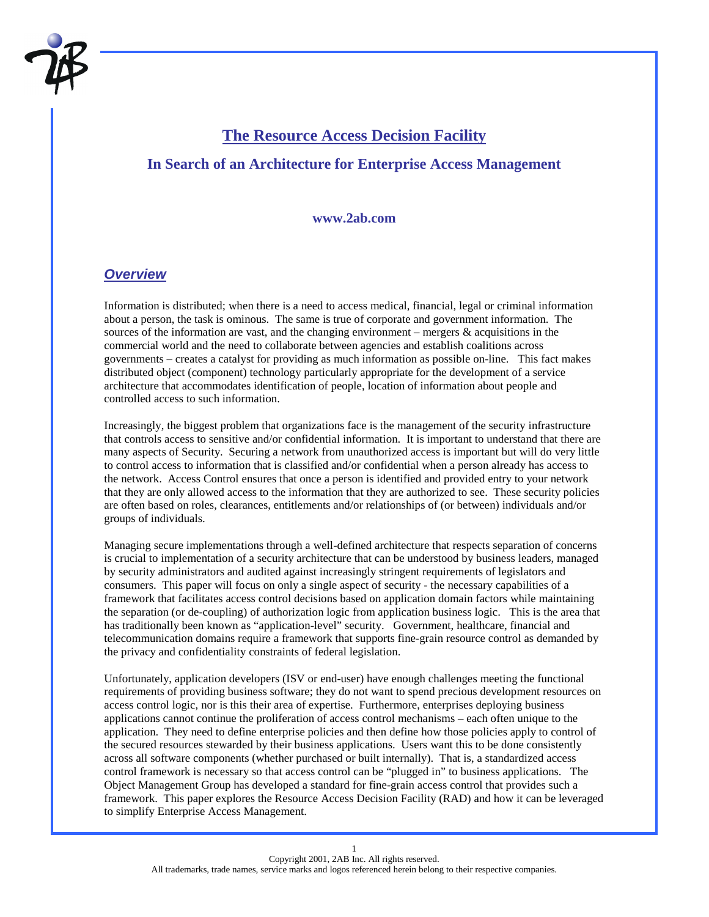

# **The Resource Access Decision Facility In Search of an Architecture for Enterprise Access Management**

#### **www.2ab.com**

### *Overview*

Information is distributed; when there is a need to access medical, financial, legal or criminal information about a person, the task is ominous. The same is true of corporate and government information. The sources of the information are vast, and the changing environment – mergers & acquisitions in the commercial world and the need to collaborate between agencies and establish coalitions across governments – creates a catalyst for providing as much information as possible on-line. This fact makes distributed object (component) technology particularly appropriate for the development of a service architecture that accommodates identification of people, location of information about people and controlled access to such information.

Increasingly, the biggest problem that organizations face is the management of the security infrastructure that controls access to sensitive and/or confidential information. It is important to understand that there are many aspects of Security. Securing a network from unauthorized access is important but will do very little to control access to information that is classified and/or confidential when a person already has access to the network. Access Control ensures that once a person is identified and provided entry to your network that they are only allowed access to the information that they are authorized to see. These security policies are often based on roles, clearances, entitlements and/or relationships of (or between) individuals and/or groups of individuals.

Managing secure implementations through a well-defined architecture that respects separation of concerns is crucial to implementation of a security architecture that can be understood by business leaders, managed by security administrators and audited against increasingly stringent requirements of legislators and consumers. This paper will focus on only a single aspect of security - the necessary capabilities of a framework that facilitates access control decisions based on application domain factors while maintaining the separation (or de-coupling) of authorization logic from application business logic. This is the area that has traditionally been known as "application-level" security. Government, healthcare, financial and telecommunication domains require a framework that supports fine-grain resource control as demanded by the privacy and confidentiality constraints of federal legislation.

Unfortunately, application developers (ISV or end-user) have enough challenges meeting the functional requirements of providing business software; they do not want to spend precious development resources on access control logic, nor is this their area of expertise. Furthermore, enterprises deploying business applications cannot continue the proliferation of access control mechanisms – each often unique to the application. They need to define enterprise policies and then define how those policies apply to control of the secured resources stewarded by their business applications. Users want this to be done consistently across all software components (whether purchased or built internally). That is, a standardized access control framework is necessary so that access control can be "plugged in" to business applications. The Object Management Group has developed a standard for fine-grain access control that provides such a framework. This paper explores the Resource Access Decision Facility (RAD) and how it can be leveraged to simplify Enterprise Access Management.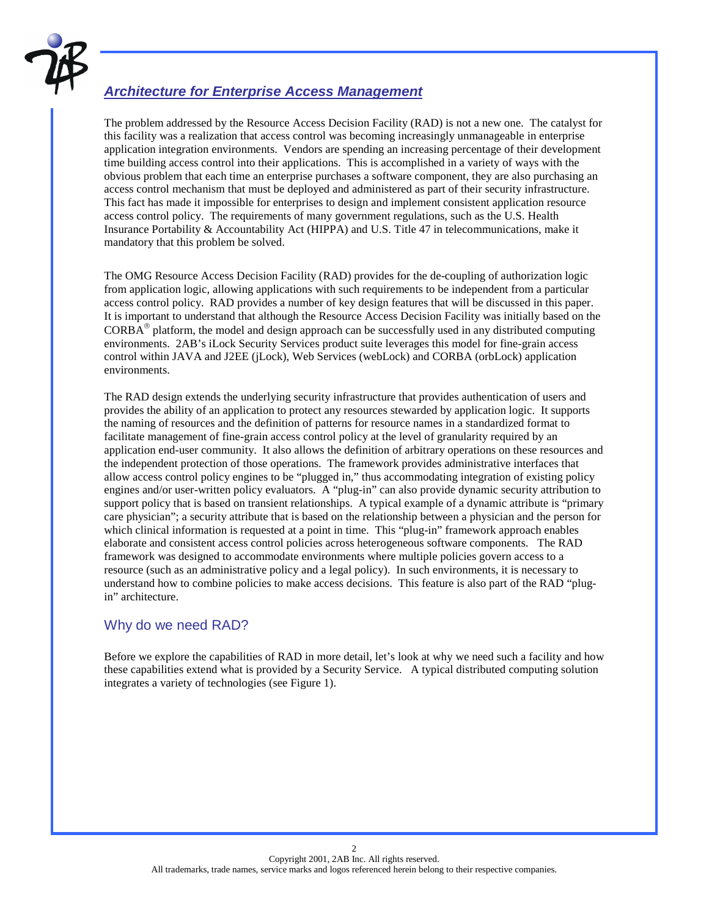

## *Architecture for Enterprise Access Management*

The problem addressed by the Resource Access Decision Facility (RAD) is not a new one. The catalyst for this facility was a realization that access control was becoming increasingly unmanageable in enterprise application integration environments. Vendors are spending an increasing percentage of their development time building access control into their applications. This is accomplished in a variety of ways with the obvious problem that each time an enterprise purchases a software component, they are also purchasing an access control mechanism that must be deployed and administered as part of their security infrastructure. This fact has made it impossible for enterprises to design and implement consistent application resource access control policy. The requirements of many government regulations, such as the U.S. Health Insurance Portability & Accountability Act (HIPPA) and U.S. Title 47 in telecommunications, make it mandatory that this problem be solved.

The OMG Resource Access Decision Facility (RAD) provides for the de-coupling of authorization logic from application logic, allowing applications with such requirements to be independent from a particular access control policy. RAD provides a number of key design features that will be discussed in this paper. It is important to understand that although the Resource Access Decision Facility was initially based on the  $CORBA<sup>®</sup>$  platform, the model and design approach can be successfully used in any distributed computing environments. 2AB's iLock Security Services product suite leverages this model for fine-grain access control within JAVA and J2EE (jLock), Web Services (webLock) and CORBA (orbLock) application environments.

The RAD design extends the underlying security infrastructure that provides authentication of users and provides the ability of an application to protect any resources stewarded by application logic. It supports the naming of resources and the definition of patterns for resource names in a standardized format to facilitate management of fine-grain access control policy at the level of granularity required by an application end-user community. It also allows the definition of arbitrary operations on these resources and the independent protection of those operations. The framework provides administrative interfaces that allow access control policy engines to be "plugged in," thus accommodating integration of existing policy engines and/or user-written policy evaluators. A "plug-in" can also provide dynamic security attribution to support policy that is based on transient relationships. A typical example of a dynamic attribute is "primary" care physician"; a security attribute that is based on the relationship between a physician and the person for which clinical information is requested at a point in time. This "plug-in" framework approach enables elaborate and consistent access control policies across heterogeneous software components. The RAD framework was designed to accommodate environments where multiple policies govern access to a resource (such as an administrative policy and a legal policy). In such environments, it is necessary to understand how to combine policies to make access decisions. This feature is also part of the RAD "plugin" architecture.

### Why do we need RAD?

Before we explore the capabilities of RAD in more detail, let's look at why we need such a facility and how these capabilities extend what is provided by a Security Service. A typical distributed computing solution integrates a variety of technologies (see Figure 1).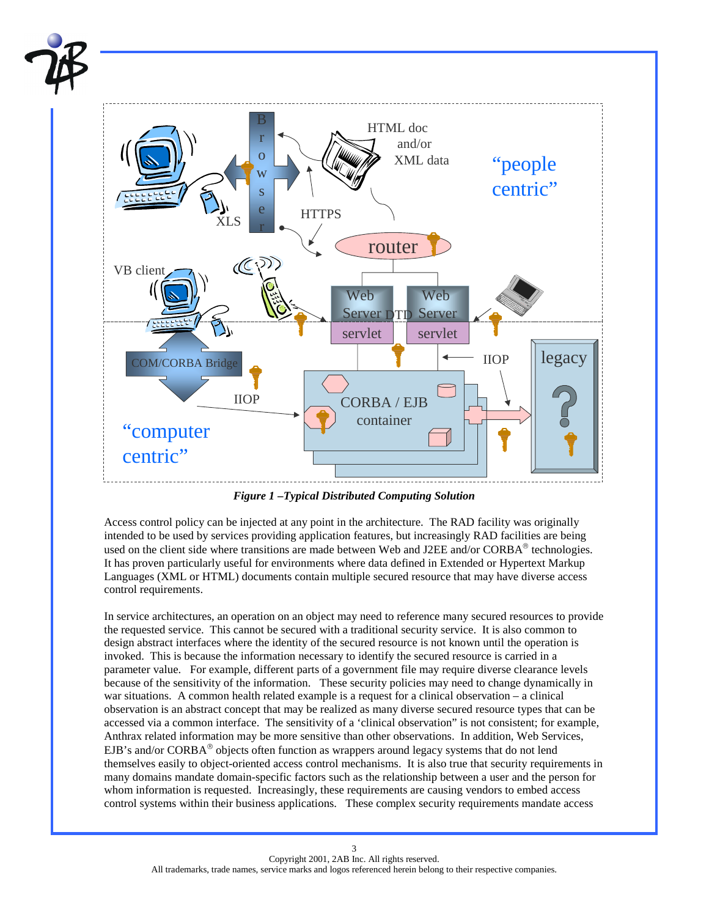



*Figure 1 –Typical Distributed Computing Solution* 

Access control policy can be injected at any point in the architecture. The RAD facility was originally intended to be used by services providing application features, but increasingly RAD facilities are being used on the client side where transitions are made between Web and J2EE and/or  $CORBA<sup>®</sup>$  technologies. It has proven particularly useful for environments where data defined in Extended or Hypertext Markup Languages (XML or HTML) documents contain multiple secured resource that may have diverse access control requirements.

In service architectures, an operation on an object may need to reference many secured resources to provide the requested service. This cannot be secured with a traditional security service. It is also common to design abstract interfaces where the identity of the secured resource is not known until the operation is invoked. This is because the information necessary to identify the secured resource is carried in a parameter value. For example, different parts of a government file may require diverse clearance levels because of the sensitivity of the information. These security policies may need to change dynamically in war situations. A common health related example is a request for a clinical observation – a clinical observation is an abstract concept that may be realized as many diverse secured resource types that can be accessed via a common interface. The sensitivity of a 'clinical observation" is not consistent; for example, Anthrax related information may be more sensitive than other observations. In addition, Web Services, EJB's and/or CORBA<sup><sup>®</sup> objects often function as wrappers around legacy systems that do not lend</sup> themselves easily to object-oriented access control mechanisms. It is also true that security requirements in many domains mandate domain-specific factors such as the relationship between a user and the person for whom information is requested. Increasingly, these requirements are causing vendors to embed access control systems within their business applications. These complex security requirements mandate access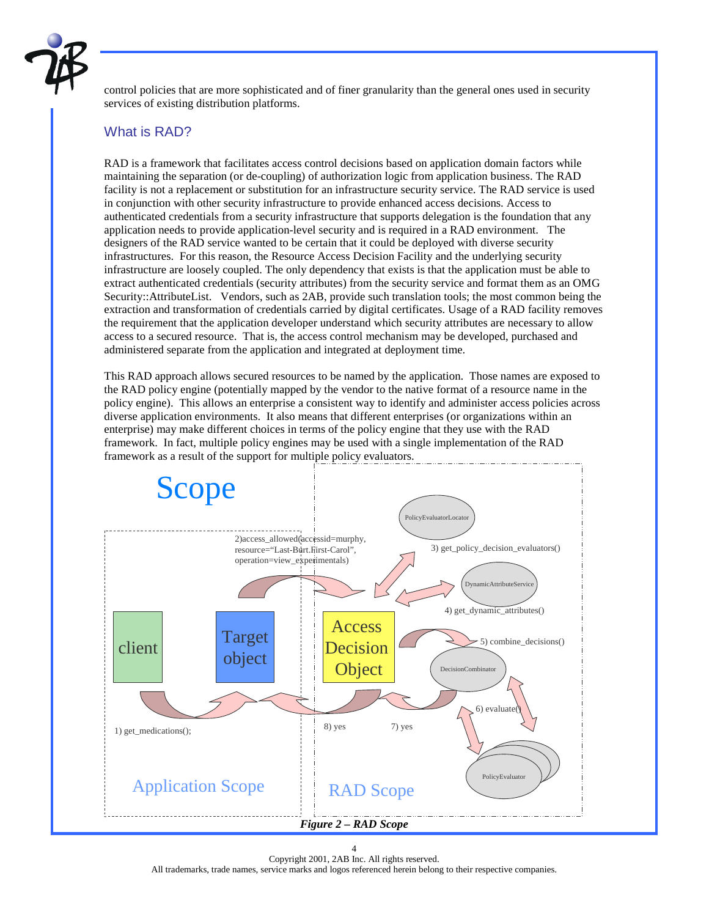

control policies that are more sophisticated and of finer granularity than the general ones used in security services of existing distribution platforms.

## What is RAD?

RAD is a framework that facilitates access control decisions based on application domain factors while maintaining the separation (or de-coupling) of authorization logic from application business. The RAD facility is not a replacement or substitution for an infrastructure security service. The RAD service is used in conjunction with other security infrastructure to provide enhanced access decisions. Access to authenticated credentials from a security infrastructure that supports delegation is the foundation that any application needs to provide application-level security and is required in a RAD environment. The designers of the RAD service wanted to be certain that it could be deployed with diverse security infrastructures. For this reason, the Resource Access Decision Facility and the underlying security infrastructure are loosely coupled. The only dependency that exists is that the application must be able to extract authenticated credentials (security attributes) from the security service and format them as an OMG Security::AttributeList. Vendors, such as 2AB, provide such translation tools; the most common being the extraction and transformation of credentials carried by digital certificates. Usage of a RAD facility removes the requirement that the application developer understand which security attributes are necessary to allow access to a secured resource. That is, the access control mechanism may be developed, purchased and administered separate from the application and integrated at deployment time.

This RAD approach allows secured resources to be named by the application. Those names are exposed to the RAD policy engine (potentially mapped by the vendor to the native format of a resource name in the policy engine). This allows an enterprise a consistent way to identify and administer access policies across diverse application environments. It also means that different enterprises (or organizations within an enterprise) may make different choices in terms of the policy engine that they use with the RAD framework. In fact, multiple policy engines may be used with a single implementation of the RAD framework as a result of the support for multiple policy evaluators.



4 Copyright 2001, 2AB Inc. All rights reserved. All trademarks, trade names, service marks and logos referenced herein belong to their respective companies.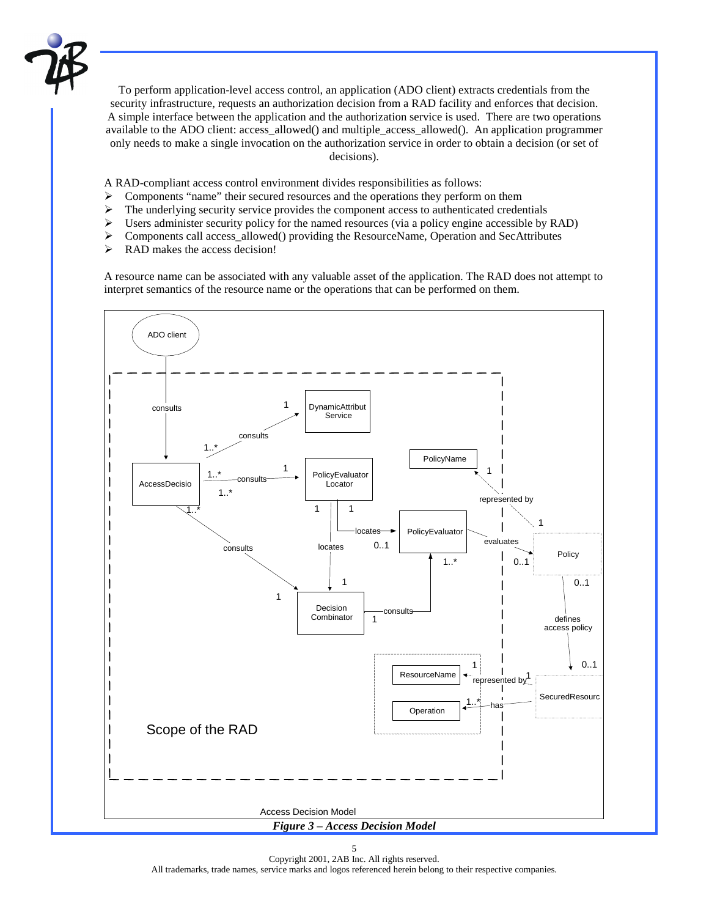

To perform application-level access control, an application (ADO client) extracts credentials from the security infrastructure, requests an authorization decision from a RAD facility and enforces that decision. A simple interface between the application and the authorization service is used. There are two operations available to the ADO client: access\_allowed() and multiple\_access\_allowed(). An application programmer only needs to make a single invocation on the authorization service in order to obtain a decision (or set of decisions).

A RAD-compliant access control environment divides responsibilities as follows:

- ! Components "name" their secured resources and the operations they perform on them
- $\triangleright$  The underlying security service provides the component access to authenticated credentials
- $\triangleright$  Users administer security policy for the named resources (via a policy engine accessible by RAD)
- ▶ Components call access\_allowed() providing the ResourceName, Operation and SecAttributes
- $\triangleright$  RAD makes the access decision!

A resource name can be associated with any valuable asset of the application. The RAD does not attempt to interpret semantics of the resource name or the operations that can be performed on them.



Copyright 2001, 2AB Inc. All rights reserved. All trademarks, trade names, service marks and logos referenced herein belong to their respective companies.

5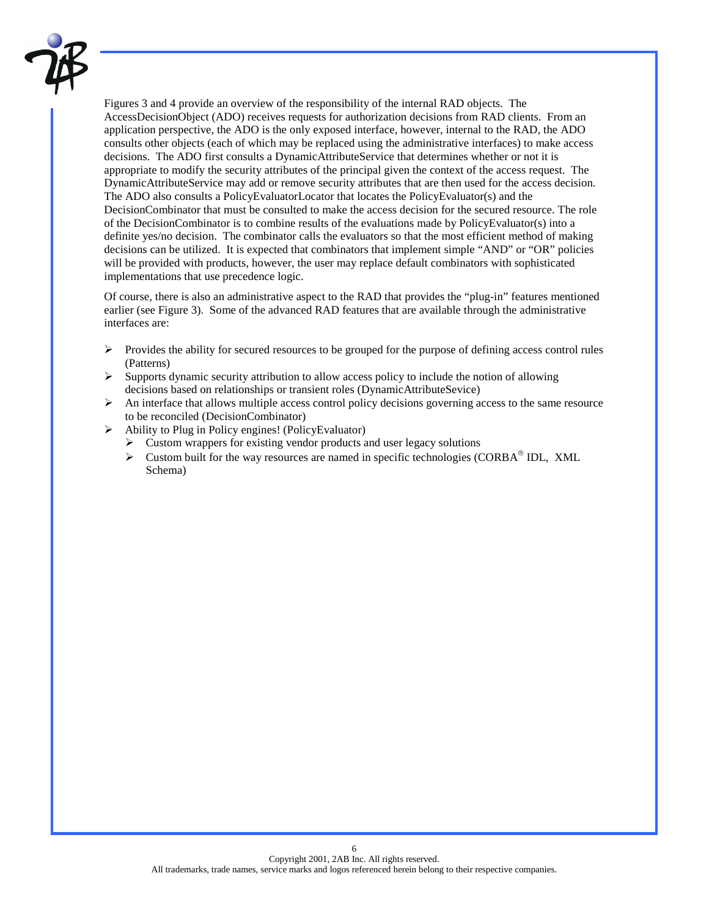

Figures 3 and 4 provide an overview of the responsibility of the internal RAD objects. The AccessDecisionObject (ADO) receives requests for authorization decisions from RAD clients. From an application perspective, the ADO is the only exposed interface, however, internal to the RAD, the ADO consults other objects (each of which may be replaced using the administrative interfaces) to make access decisions. The ADO first consults a DynamicAttributeService that determines whether or not it is appropriate to modify the security attributes of the principal given the context of the access request. The DynamicAttributeService may add or remove security attributes that are then used for the access decision. The ADO also consults a PolicyEvaluatorLocator that locates the PolicyEvaluator(s) and the DecisionCombinator that must be consulted to make the access decision for the secured resource. The role of the DecisionCombinator is to combine results of the evaluations made by PolicyEvaluator(s) into a definite yes/no decision. The combinator calls the evaluators so that the most efficient method of making decisions can be utilized. It is expected that combinators that implement simple "AND" or "OR" policies will be provided with products, however, the user may replace default combinators with sophisticated implementations that use precedence logic.

Of course, there is also an administrative aspect to the RAD that provides the "plug-in" features mentioned earlier (see Figure 3). Some of the advanced RAD features that are available through the administrative interfaces are:

- $\triangleright$  Provides the ability for secured resources to be grouped for the purpose of defining access control rules (Patterns)
- $\triangleright$  Supports dynamic security attribution to allow access policy to include the notion of allowing decisions based on relationships or transient roles (DynamicAttributeSevice)
- $\triangleright$  An interface that allows multiple access control policy decisions governing access to the same resource to be reconciled (DecisionCombinator)
- $\triangleright$  Ability to Plug in Policy engines! (PolicyEvaluator)
	- $\triangleright$  Custom wrappers for existing vendor products and user legacy solutions
	- Eustom built for the way resources are named in specific technologies (CORBA<sup>®</sup> IDL, XML Schema)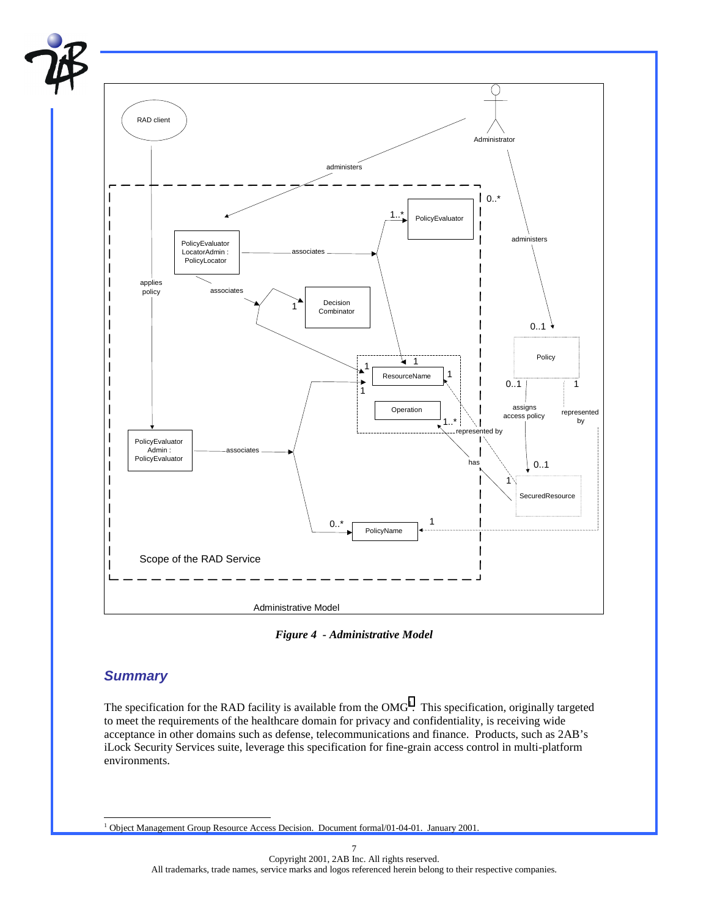

*Figure 4 - Administrative Model* 

## *Summary*

The specification for the RAD facility is available from the  $OMG<sup>1</sup>$ . This specification, originally targeted to meet the requirements of the healthcare domain for privacy and confidentiality, is receiving wide acceptance in other domains such as defense, telecommunications and finance. Products, such as 2AB's iLock Security Services suite, leverage this specification for fine-grain access control in multi-platform environments.

 1 Object Management Group Resource Access Decision. Document formal/01-04-01. January 2001.